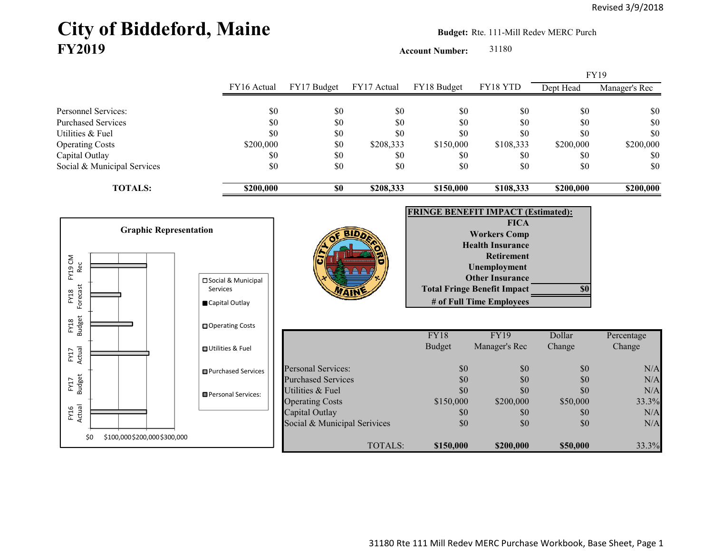# City of Biddeford, Maine **Budget:** Rte. 111-Mill Redev MERC Purch **FY2019**

**Account Number:** 31180

FY16 Actual FY17 Budget FY17 Actual FY18 Budget FY18 YTD Dept Head Manager's Rec Personnel Services: \$0 \$0 \$0 \$0 \$0 \$0 \$0 Purchased Services \$0 \$0 \$0 \$0 \$0 \$0 \$0 Utilities & Fuel \$0 \$0 \$0 \$0 \$0 \$0 \$0 Operating Costs \$200,000 \$0 \$208,333 \$150,000 \$108,333 \$200,000 \$200,000 Capital Outlay \$0 \$0 \$0 \$0 \$0 \$0 Social & Municipal Services \$0 \$0 \$0 \$0 \$0 \$0 \$0 **TOTALS: \$200,000 \$0 \$208,333 \$150,000 \$108,333 \$200,000 \$200,000 FRINGE BENEFIT IMPACT (Estimated): FICA Workers Comp Health InsuranceRetirement Unemployment Other Insurance Total Fringe Benefit Impact \$0 # of Full Time Employees** FY18 FY19 Dollar Percentage Budget Manager's Rec Change Change Personal Services:  $$0$   $$0$   $$0$   $$0$   $$0$   $$N/A$ Purchased Services  $$0$   $$0$   $$0$   $$0$   $$0$   $$0$   $$N/A$ Utilities & Fuel  $$0$   $$0$   $$0$   $$0$   $$0$   $$0$   $$N/A$ Operating Costs \$150,000 \$200,000 \$50,000 \$50,000 33.3% Capital Outlay  $$0$   $$0$   $$0$   $$0$   $$0$   $$0$   $$N/A$ Social & Municipal Serivices  $$0$   $$0$   $$0$   $$0$   $$0$   $$N/A$ TOTALS: **\$150,000 \$200,000 \$50,000** 33.3% FY19\$0 \$100,000 \$200,000 \$300,000 FY16 Actual FY17 Budget FY17 Actual FY18 Budget FY18<br>Forecast Forecast FY19 CM FY19 CM<br>Rec **Graphic Representation**  □Social & Municipal Services Capital Outlay Operating Costs **O**Utilities & Fuel **□**Purchased Services **Personal Services:**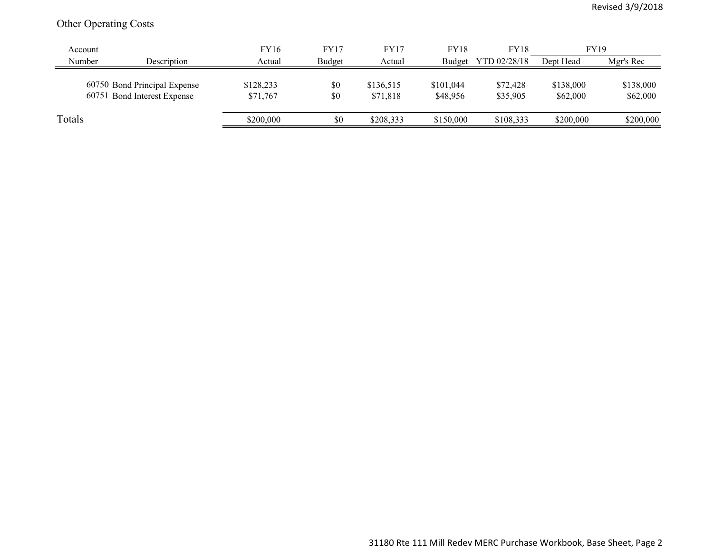## Other Operating Costs

| Account |                                                             | <b>FY16</b>           | FY17       | <b>FY17</b>           | <b>FY18</b>           | <b>FY18</b>          | <b>FY19</b>           |                       |
|---------|-------------------------------------------------------------|-----------------------|------------|-----------------------|-----------------------|----------------------|-----------------------|-----------------------|
| Number  | Description                                                 | Actual                | Budget     | Actual                | Budget                | YTD 02/28/18         | Dept Head             | Mgr's Rec             |
|         | 60750 Bond Principal Expense<br>60751 Bond Interest Expense | \$128,233<br>\$71,767 | \$0<br>\$0 | \$136,515<br>\$71,818 | \$101,044<br>\$48,956 | \$72,428<br>\$35,905 | \$138,000<br>\$62,000 | \$138,000<br>\$62,000 |
| Totals  |                                                             | \$200,000             | \$0        | \$208,333             | \$150,000             | \$108,333            | \$200,000             | \$200,000             |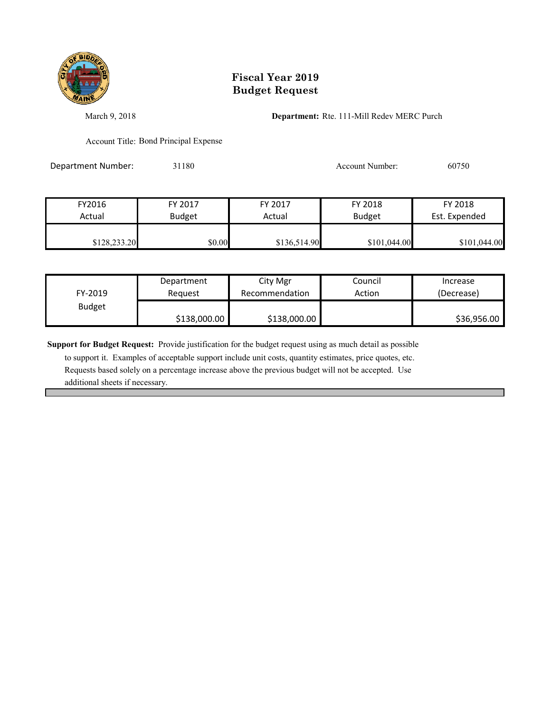

## **Fiscal Year 2019 Budget Request**

March 9, 2018 **Department:** Rte. 111-Mill Redev MERC Purch

Account Title: Bond Principal Expense

Department Number: 31180 31180 Account Number: 60750

| FY2016       | FY 2017       |              | FY 2018       | FY 2018       |
|--------------|---------------|--------------|---------------|---------------|
| Actual       | <b>Budget</b> |              | <b>Budget</b> | Est. Expended |
| \$128,233.20 | \$0.00        | \$136,514.90 | \$101,044.00  | \$101,044.00  |

| FY-2019       | Department   | City Mgr       | Council | Increase    |
|---------------|--------------|----------------|---------|-------------|
|               | Reauest      | Recommendation | Action  | (Decrease)  |
| <b>Budget</b> | \$138,000.00 | \$138,000.00   |         | \$36,956.00 |

**Support for Budget Request:** Provide justification for the budget request using as much detail as possible

 to support it. Examples of acceptable support include unit costs, quantity estimates, price quotes, etc. Requests based solely on a percentage increase above the previous budget will not be accepted. Use additional sheets if necessary.